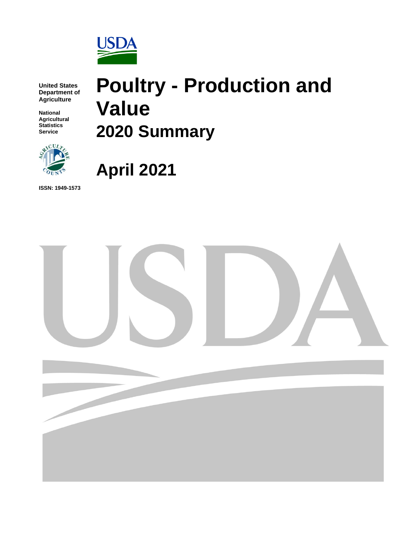

**United States Department of Agriculture**

**National Agricultural Statistics Service**



**ISSN: 1949-1573**

# **Poultry - Production and Value 2020 Summary**



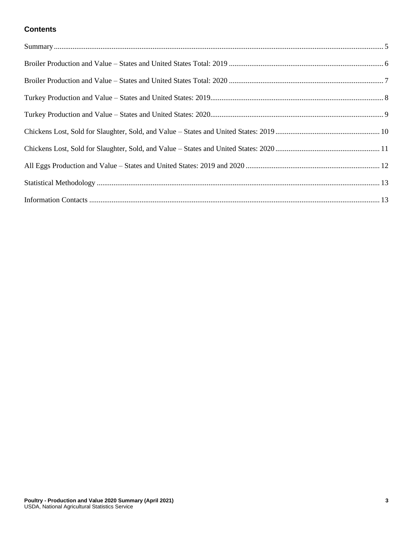# **Contents**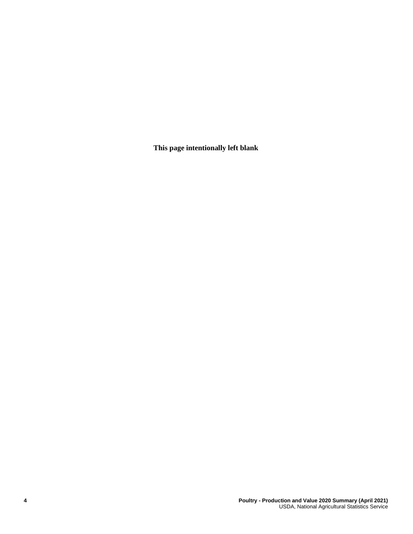**This page intentionally left blank**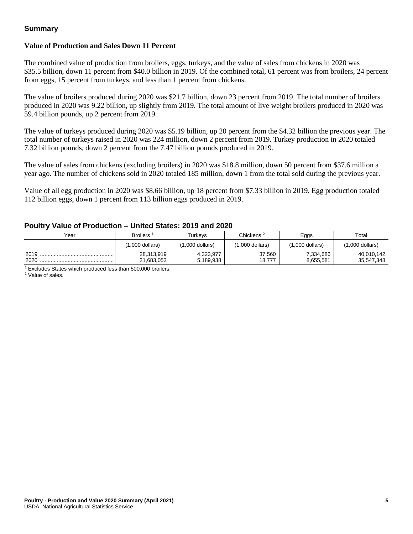## **Summary**

#### **Value of Production and Sales Down 11 Percent**

The combined value of production from broilers, eggs, turkeys, and the value of sales from chickens in 2020 was \$35.5 billion, down 11 percent from \$40.0 billion in 2019. Of the combined total, 61 percent was from broilers, 24 percent from eggs, 15 percent from turkeys, and less than 1 percent from chickens.

The value of broilers produced during 2020 was \$21.7 billion, down 23 percent from 2019. The total number of broilers produced in 2020 was 9.22 billion, up slightly from 2019. The total amount of live weight broilers produced in 2020 was 59.4 billion pounds, up 2 percent from 2019.

The value of turkeys produced during 2020 was \$5.19 billion, up 20 percent from the \$4.32 billion the previous year. The total number of turkeys raised in 2020 was 224 million, down 2 percent from 2019. Turkey production in 2020 totaled 7.32 billion pounds, down 2 percent from the 7.47 billion pounds produced in 2019.

The value of sales from chickens (excluding broilers) in 2020 was \$18.8 million, down 50 percent from \$37.6 million a year ago. The number of chickens sold in 2020 totaled 185 million, down 1 from the total sold during the previous year.

Value of all egg production in 2020 was \$8.66 billion, up 18 percent from \$7.33 billion in 2019. Egg production totaled 112 billion eggs, down 1 percent from 113 billion eggs produced in 2019.

## **Poultry Value of Production – United States: 2019 and 2020**

| Year         | <b>Broilers</b>          | Turkevs                | Chickens <sup>2</sup> | Eggs                   | Total                    |
|--------------|--------------------------|------------------------|-----------------------|------------------------|--------------------------|
|              | $(1,000$ dollars)        | $(1,000$ dollars)      | $(1.000$ dollars)     | (1,000 dollars)        | $(1,000$ dollars)        |
| 2019<br>2020 | 28,313,919<br>21,683,052 | 4,323,977<br>5,189,938 | 37,560<br>18,777      | 7.334.686<br>8,655,581 | 40,010,142<br>35,547,348 |

<sup>1</sup> Excludes States which produced less than 500,000 broilers.

<sup>2</sup> Value of sales.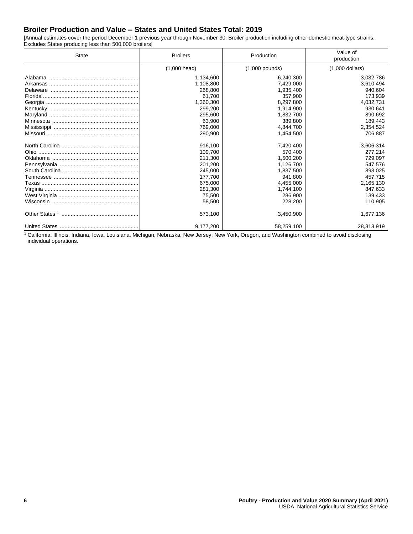#### **Broiler Production and Value – States and United States Total: 2019**

[Annual estimates cover the period December 1 previous year through November 30. Broiler production including other domestic meat-type strains. Excludes States producing less than 500,000 broilers]

| <b>State</b> | <b>Broilers</b>        | Production       | Value of<br>production |
|--------------|------------------------|------------------|------------------------|
|              | $(1,000 \text{ head})$ | $(1,000$ pounds) | $(1,000$ dollars)      |
|              | 1,134,600              | 6,240,300        | 3,032,786              |
|              | 1,108,800              | 7,429,000        | 3,610,494              |
|              | 268,800                | 1,935,400        | 940,604                |
|              | 61,700                 | 357,900          | 173,939                |
|              | 1,360,300              | 8,297,800        | 4,032,731              |
|              | 299,200                | 1,914,900        | 930,641                |
|              | 295,600                | 1,832,700        | 890,692                |
|              | 63,900                 | 389,800          | 189,443                |
|              | 769,000                | 4,844,700        | 2,354,524              |
|              | 290,900                | 1,454,500        | 706,887                |
|              | 916,100                | 7,420,400        | 3,606,314              |
|              | 109,700                | 570,400          | 277,214                |
|              | 211,300                | 1,500,200        | 729,097                |
|              | 201,200                | 1,126,700        | 547,576                |
|              | 245,000                | 1,837,500        | 893,025                |
|              | 177,700                | 941.800          | 457,715                |
|              | 675,000                | 4,455,000        | 2,165,130              |
|              | 281,300                | 1,744,100        | 847,633                |
|              | 75,500                 | 286,900          | 139,433                |
|              | 58,500                 | 228,200          | 110,905                |
|              | 573,100                | 3,450,900        | 1,677,136              |
|              | 9,177,200              | 58,259,100       | 28,313,919             |

<sup>1</sup> California, Illinois, Indiana, Iowa, Louisiana, Michigan, Nebraska, New Jersey, New York, Oregon, and Washington combined to avoid disclosing individual operations.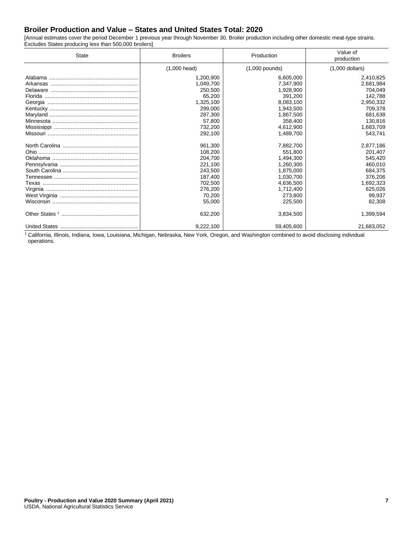#### **Broiler Production and Value – States and United States Total: 2020**

[Annual estimates cover the period December 1 previous year through November 30. Broiler production including other domestic meat-type strains. Excludes States producing less than 500,000 broilers]

| <b>State</b> | <b>Broilers</b>        | Production       | Value of<br>production |  |
|--------------|------------------------|------------------|------------------------|--|
|              | $(1,000 \text{ head})$ | $(1,000$ pounds) | $(1,000$ dollars)      |  |
|              | 1,200,900              | 6,605,000        | 2,410,825              |  |
|              | 1,049,700              | 7,347,900        | 2,681,984              |  |
|              | 250,500                | 1,928,900        | 704,049                |  |
|              | 65,200                 | 391,200          | 142,788                |  |
|              | 1,325,100              | 8,083,100        | 2,950,332              |  |
|              | 299,000                | 1,943,500        | 709,378                |  |
|              | 287,300                | 1,867,500        | 681,638                |  |
|              | 57,800                 | 358.400          | 130,816                |  |
|              | 732,200                | 4,612,900        | 1,683,709              |  |
|              | 292,100                | 1,489,700        | 543,741                |  |
|              | 961,300                | 7,882,700        | 2,877,186              |  |
|              | 108,200                | 551,800          | 201,407                |  |
|              | 204,700                | 1,494,300        | 545,420                |  |
|              | 221,100                | 1,260,300        | 460,010                |  |
|              | 243,500                | 1,875,000        | 684,375                |  |
|              | 187,400                | 1,030,700        | 376,206                |  |
|              | 702,500                | 4,636,500        | 1,692,323              |  |
|              | 276,200                | 1,712,400        | 625,026                |  |
|              | 70,200                 | 273,800          | 99,937                 |  |
|              | 55,000                 | 225,500          | 82,308                 |  |
|              | 632,200                | 3,834,500        | 1,399,594              |  |
|              | 9,222,100              | 59,405,600       | 21,683,052             |  |

<sup>1</sup> California, Illinois, Indiana, Iowa, Louisiana, Michigan, Nebraska, New York, Oregon, and Washington combined to avoid disclosing individual operations.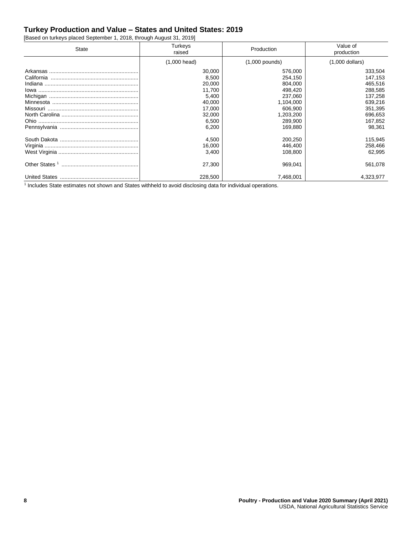# **Turkey Production and Value – States and United States: 2019**

[Based on turkeys placed September 1, 2018, through August 31, 2019]

| State                | Turkeys<br>Production<br>raised |                      | Value of<br>production |  |
|----------------------|---------------------------------|----------------------|------------------------|--|
|                      | $(1,000 \text{ head})$          | $(1,000$ pounds)     | $(1,000$ dollars)      |  |
|                      | 30,000<br>8,500                 | 576,000<br>254,150   | 333,504<br>147,153     |  |
|                      | 20,000                          | 804.000              | 465,516                |  |
|                      | 11,700<br>5,400                 | 498,420<br>237,060   | 288,585<br>137,258     |  |
|                      | 40,000                          | 1,104,000            | 639,216                |  |
|                      | 17,000<br>32,000                | 606.900<br>1,203,200 | 351,395<br>696,653     |  |
|                      | 6,500<br>6,200                  | 289,900<br>169.880   | 167,852<br>98.361      |  |
|                      | 4,500                           | 200,250              | 115,945                |  |
|                      | 16,000                          | 446.400              | 258,466                |  |
|                      | 3,400                           | 108,800              | 62,995                 |  |
|                      | 27,300                          | 969.041              | 561,078                |  |
| <b>United States</b> | 228,500                         | 7,468,001            | 4,323,977              |  |

<sup>1</sup> Includes State estimates not shown and States withheld to avoid disclosing data for individual operations.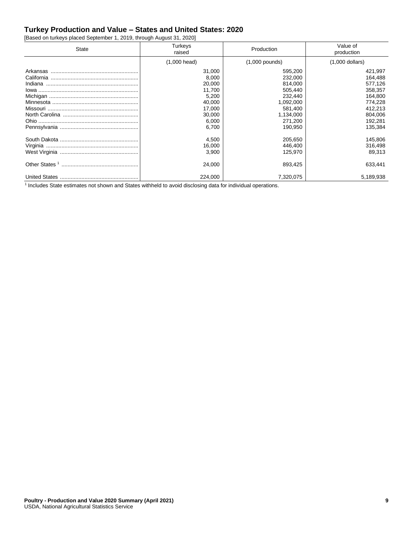# **Turkey Production and Value – States and United States: 2020**

[Based on turkeys placed September 1, 2019, through August 31, 2020]

| State         | Turkeys<br>raised      | Production           | Value of<br>production |  |
|---------------|------------------------|----------------------|------------------------|--|
|               | $(1,000 \text{ head})$ | $(1,000$ pounds)     | $(1,000$ dollars)      |  |
|               | 31,000                 | 595,200              | 421,997                |  |
|               | 8,000<br>20,000        | 232,000<br>814.000   | 164,488<br>577,126     |  |
|               | 11,700                 | 505,440              | 358,357                |  |
|               | 5,200<br>40,000        | 232,440<br>1,092,000 | 164,800<br>774,228     |  |
|               | 17,000<br>30,000       | 581.400<br>1,134,000 | 412,213<br>804,006     |  |
|               | 6,000                  | 271,200              | 192,281                |  |
|               | 6.700                  | 190.950              | 135.384                |  |
|               | 4,500                  | 205,650              | 145,806                |  |
|               | 16,000<br>3,900        | 446,400<br>125.970   | 316,498<br>89.313      |  |
|               |                        |                      |                        |  |
|               | 24,000                 | 893,425              | 633,441                |  |
| United States | 224,000                | 7,320,075            | 5,189,938              |  |

1 Includes State estimates not shown and States withheld to avoid disclosing data for individual operations.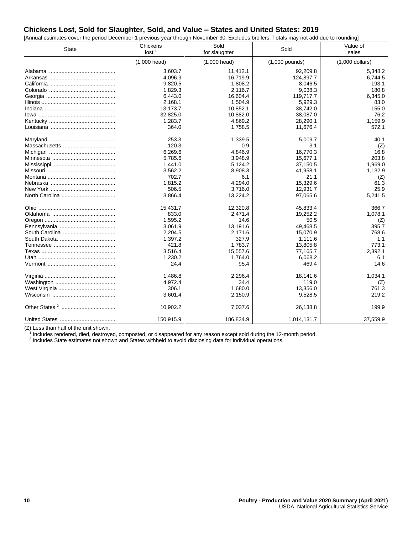## **Chickens Lost, Sold for Slaughter, Sold, and Value – States and United States: 2019**

[Annual estimates cover the period December 1 previous year through November 30. Excludes broilers. Totals may not add due to rounding]

| <b>State</b> | Chickens<br>lost <sup>1</sup> | Sold<br>for slaughter | Sold             | Value of<br>sales |
|--------------|-------------------------------|-----------------------|------------------|-------------------|
|              | $(1,000 \text{ head})$        | $(1,000$ head)        | $(1,000$ pounds) | $(1,000$ dollars) |
|              | 3,603.7                       | 11,412.1              | 92,209.8         | 5,348.2           |
|              | 4,096.9                       | 16,719.9              | 124,897.7        | 6,744.5           |
|              | 9,820.5                       | 1,808.2               | 8,046.5          | 193.1             |
|              | 1,829.3                       | 2.116.7               | 9,038.3          | 180.8             |
|              | 6,443.0                       | 16,604.4              | 119,717.7        | 6,345.0           |
|              | 2,168.1                       | 1,504.9               | 5,929.3          | 83.0              |
|              | 13,173.7                      | 10,852.1              | 38,742.0         | 155.0             |
|              | 32,825.0                      | 10,882.0              | 38,087.0         | 76.2              |
|              | 1,283.7                       | 4,869.2               | 28,290.1         | 1,159.9           |
|              | 364.0                         | 1,758.5               | 11,676.4         | 572.1             |
|              | 253.3                         | 1,339.5               | 5,009.7          | 40.1              |
|              | 120.3                         | 0.9                   | 3.1              | (Z)               |
|              | 6,269.6                       | 4,846.9               | 16,770.3         | 16.8              |
|              | 5,785.6                       | 3,948.9               | 15,677.1         | 203.8             |
|              | 1,441.0                       | 5,124.2               | 37,150.5         | 1,969.0           |
|              | 3,562.2                       | 8,908.3               | 41,958.1         | 1,132.9           |
|              | 702.7                         | 6.1                   | 21.1             | (Z)               |
|              | 1,815.2                       | 4,294.0               | 15,329.6         | 61.3              |
|              | 506.5                         | 3,716.0               | 12,931.7         | 25.9              |
|              | 3,866.4                       | 13,224.2              | 97,065.6         | 5,241.5           |
|              | 15,431.7                      | 12,320.8              | 45,833.4         | 366.7             |
|              | 833.0                         | 2,471.4               | 19,252.2         | 1,078.1           |
|              | 1,595.2                       | 14.6                  | 50.5             | (Z)               |
|              | 3,061.9                       | 13,191.6              | 49,468.5         | 395.7             |
|              | 2,204.5                       | 2,171.6               | 15,070.9         | 768.6             |
|              | 1,397.2                       | 327.9                 | 1,111.6          | 1.1               |
|              | 421.8                         | 1,783.7               | 13,805.8         | 773.1             |
|              | 3,516.4                       | 15,557.6              | 77,165.7         | 2,392.1           |
|              | 1,230.2                       | 1,764.0               | 6,068.2          | 6.1               |
|              | 24.4                          | 95.4                  | 469.4            | 14.6              |
|              | 1,486.8                       | 2,296.4               | 18,141.6         | 1,034.1           |
|              | 4,972.4                       | 34.4                  | 119.0            | (Z)               |
|              | 306.1                         | 1,680.0               | 13,356.0         | 761.3             |
|              | 3,601.4                       | 2,150.9               | 9,528.5          | 219.2             |
|              | 10,902.2                      | 7,037.6               | 26,138.8         | 199.9             |
|              | 150,915.9                     | 186,834.9             | 1,014,131.7      | 37,559.9          |

(Z) Less than half of the unit shown.

1 Includes rendered, died, destroyed, composted, or disappeared for any reason except sold during the 12-month period.

<sup>2</sup> Includes State estimates not shown and States withheld to avoid disclosing data for individual operations.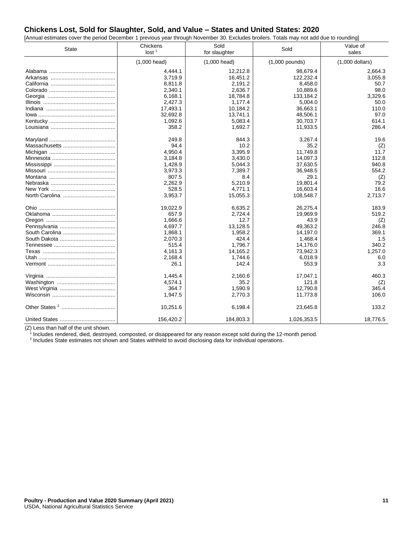## **Chickens Lost, Sold for Slaughter, Sold, and Value – States and United States: 2020**

[Annual estimates cover the period December 1 previous year through November 30. Excludes broilers. Totals may not add due to rounding]

| <b>State</b> | Chickens<br>lost <sup>1</sup> | Sold<br>for slaughter  | Sold             | Value of<br>sales |
|--------------|-------------------------------|------------------------|------------------|-------------------|
|              | $(1,000$ head)                | $(1,000 \text{ head})$ | $(1,000$ pounds) | $(1,000$ dollars) |
|              | 4,444.1                       | 12,212.8               | 98,679.4         | 2,664.3           |
|              | 3.719.9                       | 16,451.2               | 122,232.4        | 3,055.8           |
|              | 8,811.8                       | 2,191.2                | 8,458.0          | 50.7              |
|              | 2,340.1                       | 2,636.7                | 10,889.6         | 98.0              |
|              | 6,168.1                       | 18,784.8               | 133,184.2        | 3,329.6           |
|              | 2,427.3                       | 1,177.4                | 5,004.0          | 50.0              |
|              | 17,493.1                      | 10,184.2               | 36,663.1         | 110.0             |
|              | 32,692.8                      | 13,741.1               | 48,506.1         | 97.0              |
|              | 1,092.6                       | 5,083.4                | 30,703.7         | 614.1             |
|              | 358.2                         | 1,692.7                | 11,933.5         | 286.4             |
|              | 249.8                         | 844.3                  | 3,267.4          | 19.6              |
|              | 94.4                          | 10.2                   | 35.2             | (Z)               |
|              | 4,950.4                       | 3,395.9                | 11,749.8         | 11.7              |
|              | 3,184.8                       | 3,430.0                | 14,097.3         | 112.8             |
|              | 1,428.9                       | 5,044.3                | 37,630.5         | 940.8             |
|              | 3,973.3                       | 7,389.7                | 36,948.5         | 554.2             |
|              | 807.5                         | 8.4                    | 29.1             | (Z)               |
|              | 2,262.9                       | 5,210.9                | 19,801.4         | 79.2              |
|              | 528.5                         | 4,771.1                | 16,603.4         | 16.6              |
|              | 3,953.7                       | 15,055.3               | 108,548.7        | 2,713.7           |
|              | 19,022.9                      | 6,635.2                | 26,275.4         | 183.9             |
|              | 657.9                         | 2,724.4                | 19,969.9         | 519.2             |
|              | 1.666.6                       | 12.7                   | 43.9             | (Z)               |
|              | 4,697.7                       | 13,128.5               | 49,363.2         | 246.8             |
|              | 1,868.1                       | 1,958.2                | 14,197.0         | 369.1             |
|              | 2,070.3                       | 424.4                  | 1,468.4          | 1.5               |
|              | 515.4                         | 1,796.7                | 14,176.0         | 340.2             |
|              | 4,161.3                       | 14,165.2               | 73,942.3         | 1,257.0           |
|              | 2,168.4                       | 1,744.6                | 6,018.9          | 6.0               |
|              | 26.1                          | 142.4                  | 553.9            | 3.3               |
|              | 1,445.4                       | 2,160.6                | 17,047.1         | 460.3             |
|              | 4,574.1                       | 35.2                   | 121.8            | (Z)               |
|              | 364.7                         | 1,590.9                | 12,790.8         | 345.4             |
|              | 1,947.5                       | 2,770.3                | 11,773.8         | 106.0             |
|              | 10,251.6                      | 6,198.4                | 23,645.8         | 133.2             |
|              | 156,420.2                     | 184,803.3              | 1,026,353.5      | 18,776.5          |

(Z) Less than half of the unit shown.

1 Includes rendered, died, destroyed, composted, or disappeared for any reason except sold during the 12-month period.

<sup>2</sup> Includes State estimates not shown and States withheld to avoid disclosing data for individual operations.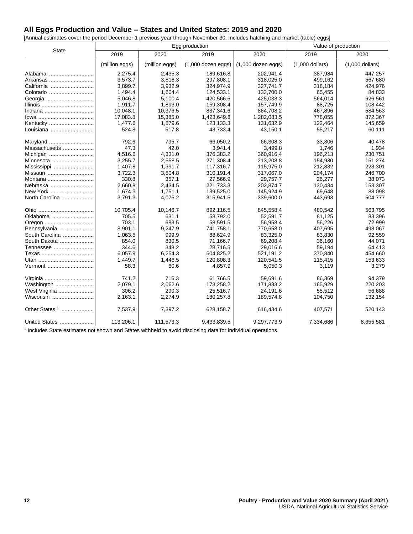## **All Eggs Production and Value – States and United States: 2019 and 2020**

[Annual estimates cover the period December 1 previous year through November 30. Includes hatching and market (table) eggs]

|                           | Egg production |                |                      | Value of production  |                   |                   |
|---------------------------|----------------|----------------|----------------------|----------------------|-------------------|-------------------|
| State                     | 2019           | 2020           | 2019                 | 2020                 | 2019              | 2020              |
|                           | (million eggs) | (million eggs) | $(1,000$ dozen eggs) | $(1,000$ dozen eggs) | $(1,000$ dollars) | $(1,000$ dollars) |
| Alabama                   | 2,275.4        | 2,435.3        | 189,616.8            | 202,941.4            | 387,984           | 447,257           |
| Arkansas                  | 3,573.7        | 3,816.3        | 297,808.1            | 318,025.0            | 499,162           | 567,680           |
| California                | 3,899.7        | 3,932.9        | 324,974.9            | 327,741.7            | 318,184           | 424,976           |
| Colorado                  | 1.494.4        | 1.604.4        | 124,533.1            | 133.700.0            | 65,455            | 84,833            |
| Georgia                   | 5.046.8        | 5,100.4        | 420,566.6            | 425,033.3            | 564,014           | 626,561           |
|                           | 1,911.7        | 1,893.0        | 159,308.4            | 157,749.9            | 88,725            | 108,442           |
| Indiana                   | 10,048.1       | 10,376.5       | 837,341.6            | 864,708.2            | 467,896           | 584,563           |
|                           | 17,083.8       | 15,385.0       | 1,423,649.8          | 1,282,083.5          | 778,055           | 872,367           |
| Kentucky                  | 1,477.6        | 1,579.6        | 123,133.3            | 131,632.9            | 122,464           | 145,659           |
| Louisiana                 | 524.8          | 517.8          | 43,733.4             | 43,150.1             | 55,217            | 60,111            |
|                           |                |                |                      |                      |                   |                   |
| Maryland                  | 792.6          | 795.7          | 66.050.2             | 66.308.3             | 33.306            | 40.478            |
| Massachusetts             | 47.3           | 42.0           | 3,941.4              | 3,499.8              | 1,746             | 1,934             |
| Michigan                  | 4.516.6        | 4,331.0        | 376,383.2            | 360,916.4            | 196,213           | 230,751           |
| Minnesota                 | 3,255.7        | 2,558.5        | 271,308.4            | 213,208.8            | 154,930           | 151,274           |
| Mississippi               | 1,407.8        | 1,391.7        | 117,316.7            | 115,975.0            | 212,832           | 223,301           |
| Missouri                  | 3,722.3        | 3,804.8        | 310,191.4            | 317,067.0            | 204,174           | 246,700           |
| Montana                   | 330.8          | 357.1          | 27,566.9             | 29,757.7             | 26,277            | 38,073            |
| Nebraska                  | 2.660.8        | 2,434.5        | 221,733.3            | 202,874.7            | 130,434           | 153,307           |
| New York                  | 1,674.3        | 1,751.1        | 139,525.0            | 145,924.9            | 69,648            | 88,098            |
| North Carolina            | 3.791.3        | 4,075.2        | 315,941.5            | 339,600.0            | 443,693           | 504,777           |
|                           |                |                |                      |                      |                   |                   |
|                           | 10.705.4       | 10,146.7       | 892.116.5            | 845,558.4            | 480,542           | 563.795           |
| Oklahoma                  | 705.5          | 631.1          | 58,792.0             | 52,591.7             | 81,125            | 83,396            |
| Oregon                    | 703.1          | 683.5          | 58,591.5             | 56,958.4             | 56,226            | 72,999            |
| Pennsylvania              | 8,901.1        | 9,247.9        | 741,758.1            | 770,658.0            | 407,695           | 498,067           |
| South Carolina            | 1.063.5        | 999.9          | 88,624.9             | 83,325.0             | 83,830            | 92,559            |
| South Dakota              | 854.0          | 830.5          | 71,166.7             | 69,208.4             | 36,160            | 44,071            |
| Tennessee                 | 344.6          | 348.2          | 28,716.5             | 29,016.6             | 59,194            | 64,413            |
| Texas                     | 6,057.9        | 6,254.3        | 504,825.2            | 521,191.2            | 370,840           | 454,660           |
|                           | 1,449.7        | 1,446.5        | 120,808.3            | 120,541.5            | 115,415           | 153,633           |
| Vermont                   | 58.3           | 60.6           | 4,857.9              | 5,050.3              | 3,119             | 3,279             |
|                           |                |                |                      |                      |                   |                   |
| Virginia                  | 741.2          | 716.3          | 61,766.5             | 59,691.6             | 86,369            | 94,379            |
| Washington                | 2.079.1        | 2,062.6        | 173,258.2            | 171,883.2            | 165,929           | 220,203           |
| West Virginia             | 306.2          | 290.3          | 25,516.7             | 24,191.6             | 55,512            | 56,688            |
| Wisconsin                 | 2,163.1        | 2,274.9        | 180,257.8            | 189,574.8            | 104,750           | 132,154           |
|                           |                |                |                      |                      |                   |                   |
| Other States <sup>1</sup> | 7,537.9        | 7,397.2        | 628,158.7            | 616,434.6            | 407,571           | 520,143           |
| United States             | 113,206.1      | 111,573.3      | 9,433,839.5          | 9,297,773.9          | 7,334,686         | 8,655,581         |

<sup>1</sup> Includes State estimates not shown and States withheld to avoid disclosing data for individual operations.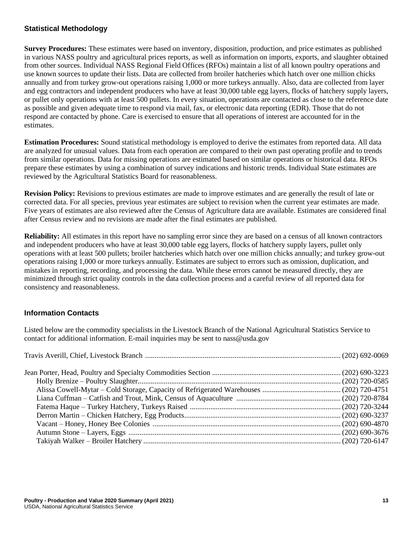## **Statistical Methodology**

**Survey Procedures:** These estimates were based on inventory, disposition, production, and price estimates as published in various NASS poultry and agricultural prices reports, as well as information on imports, exports, and slaughter obtained from other sources. Individual NASS Regional Field Offices (RFOs) maintain a list of all known poultry operations and use known sources to update their lists. Data are collected from broiler hatcheries which hatch over one million chicks annually and from turkey grow-out operations raising 1,000 or more turkeys annually. Also, data are collected from layer and egg contractors and independent producers who have at least 30,000 table egg layers, flocks of hatchery supply layers, or pullet only operations with at least 500 pullets. In every situation, operations are contacted as close to the reference date as possible and given adequate time to respond via mail, fax, or electronic data reporting (EDR). Those that do not respond are contacted by phone. Care is exercised to ensure that all operations of interest are accounted for in the estimates.

**Estimation Procedures:** Sound statistical methodology is employed to derive the estimates from reported data. All data are analyzed for unusual values. Data from each operation are compared to their own past operating profile and to trends from similar operations. Data for missing operations are estimated based on similar operations or historical data. RFOs prepare these estimates by using a combination of survey indications and historic trends. Individual State estimates are reviewed by the Agricultural Statistics Board for reasonableness.

**Revision Policy:** Revisions to previous estimates are made to improve estimates and are generally the result of late or corrected data. For all species, previous year estimates are subject to revision when the current year estimates are made. Five years of estimates are also reviewed after the Census of Agriculture data are available. Estimates are considered final after Census review and no revisions are made after the final estimates are published.

**Reliability:** All estimates in this report have no sampling error since they are based on a census of all known contractors and independent producers who have at least 30,000 table egg layers, flocks of hatchery supply layers, pullet only operations with at least 500 pullets; broiler hatcheries which hatch over one million chicks annually; and turkey grow-out operations raising 1,000 or more turkeys annually. Estimates are subject to errors such as omission, duplication, and mistakes in reporting, recording, and processing the data. While these errors cannot be measured directly, they are minimized through strict quality controls in the data collection process and a careful review of all reported data for consistency and reasonableness.

## **Information Contacts**

Listed below are the commodity specialists in the Livestock Branch of the National Agricultural Statistics Service to contact for additional information. E-mail inquiries may be sent to nass@usda.gov